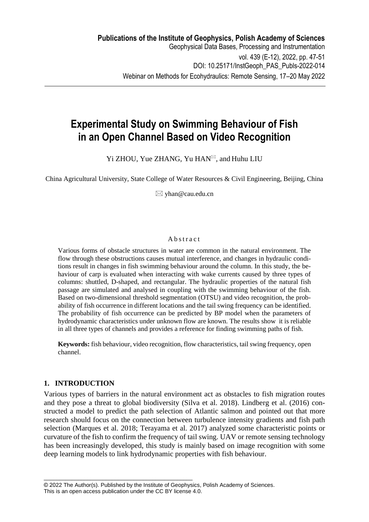# **Experimental Study on Swimming Behaviour of Fish in an Open Channel Based on Video Recognition**

Yi ZHOU, Yue ZHANG, Yu HAN<sup> $\boxtimes$ </sup>, and Huhu LIU

China Agricultural University, State College of Water Resources & Civil Engineering, Beijing, China

 $\boxtimes$  yhan@cau.edu.cn

# A b s t r a c t

Various forms of obstacle structures in water are common in the natural environment. The flow through these obstructions causes mutual interference, and changes in hydraulic conditions result in changes in fish swimming behaviour around the column. In this study, the behaviour of carp is evaluated when interacting with wake currents caused by three types of columns: shuttled, D-shaped, and rectangular. The hydraulic properties of the natural fish passage are simulated and analysed in coupling with the swimming behaviour of the fish. Based on two-dimensional threshold segmentation (OTSU) and video recognition, the probability of fish occurrence in different locations and the tail swing frequency can be identified. The probability of fish occurrence can be predicted by BP model when the parameters of hydrodynamic characteristics under unknown flow are known. The results show it is reliable in all three types of channels and provides a reference for finding swimming paths of fish.

**Keywords:** fish behaviour, video recognition, flow characteristics, tail swing frequency, open channel.

# **1. INTRODUCTION**

Various types of barriers in the natural environment act as obstacles to fish migration routes and they pose a threat to global biodiversity (Silva et al. 2018). Lindberg et al. (2016) constructed a model to predict the path selection of Atlantic salmon and pointed out that more research should focus on the connection between turbulence intensity gradients and fish path selection (Marques et al. 2018; Terayama et al. 2017) analyzed some characteristic points or curvature of the fish to confirm the frequency of tail swing. UAV or remote sensing technology has been increasingly developed, this study is mainly based on image recognition with some deep learning models to link hydrodynamic properties with fish behaviour.

\_\_\_\_\_\_\_\_\_\_\_\_\_\_\_\_\_\_\_\_\_\_\_\_\_\_\_\_\_\_\_\_\_\_\_\_\_\_\_\_\_\_\_\_\_\_\_\_

<sup>© 2022</sup> The Author(s). Published by the Institute of Geophysics, Polish Academy of Sciences. This is an open access publication under the CC BY license 4.0.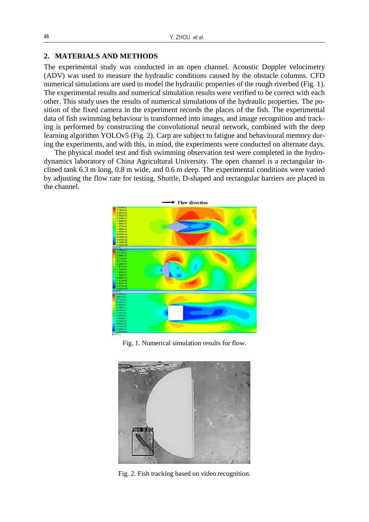### **2. MATERIALS AND METHODS**

The experimental study was conducted in an open channel. Acoustic Doppler velocimetry (ADV) was used to measure the hydraulic conditions caused by the obstacle columns. CFD numerical simulations are used to model the hydraulic properties of the rough riverbed (Fig. 1). The experimental results and numerical simulation results were verified to be correct with each other. This study uses the results of numerical simulations of the hydraulic properties. The position of the fixed camera in the experiment records the places of the fish. The experimental data of fish swimming behaviour is transformed into images, and image recognition and tracking is performed by constructing the convolutional neural network, combined with the deep learning algorithm YOLOv5 (Fig. 2). Carp are subject to fatigue and behavioural memory during the experiments, and with this, in mind, the experiments were conducted on alternate days.

The physical model test and fish swimming observation test were completed in the hydrodynamics laboratory of China Agricultural University. The open channel is a rectangular inclined tank 6.3 m long, 0.8 m wide, and 0.6 m deep. The experimental conditions were varied by adjusting the flow rate for testing. Shuttle, D-shaped and rectangular barriers are placed in the channel.



Fig. 1. Numerical simulation results for flow.



Fig. 2. Fish tracking based on video recognition.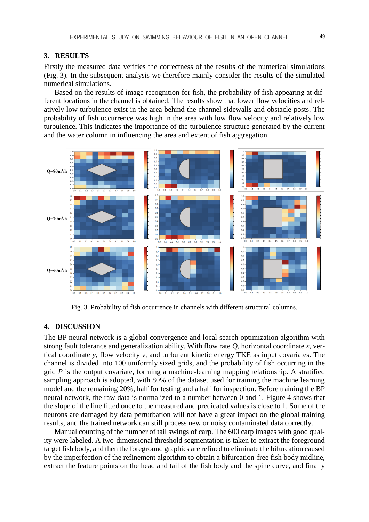#### **3. RESULTS**

Firstly the measured data verifies the correctness of the results of the numerical simulations (Fig. 3). In the subsequent analysis we therefore mainly consider the results of the simulated numerical simulations.

Based on the results of image recognition for fish, the probability of fish appearing at different locations in the channel is obtained. The results show that lower flow velocities and relatively low turbulence exist in the area behind the channel sidewalls and obstacle posts. The probability of fish occurrence was high in the area with low flow velocity and relatively low turbulence. This indicates the importance of the turbulence structure generated by the current and the water column in influencing the area and extent of fish aggregation.



Fig. 3. Probability of fish occurrence in channels with different structural columns.

# **4. DISCUSSION**

The BP neural network is a global convergence and local search optimization algorithm with strong fault tolerance and generalization ability. With flow rate *Q*, horizontal coordinate *x*, vertical coordinate *y*, flow velocity *v*, and turbulent kinetic energy TKE as input covariates. The channel is divided into 100 uniformly sized grids, and the probability of fish occurring in the grid *P* is the output covariate, forming a machine-learning mapping relationship. A stratified sampling approach is adopted, with 80% of the dataset used for training the machine learning model and the remaining 20%, half for testing and a half for inspection. Before training the BP neural network, the raw data is normalized to a number between 0 and 1. Figure 4 shows that the slope of the line fitted once to the measured and predicated values is close to 1. Some of the neurons are damaged by data perturbation will not have a great impact on the global training results, and the trained network can still process new or noisy contaminated data correctly.

Manual counting of the number of tail swings of carp. The 600 carp images with good quality were labeled. A two-dimensional threshold segmentation is taken to extract the foreground target fish body, and then the foreground graphics are refined to eliminate the bifurcation caused by the imperfection of the refinement algorithm to obtain a bifurcation-free fish body midline, extract the feature points on the head and tail of the fish body and the spine curve, and finally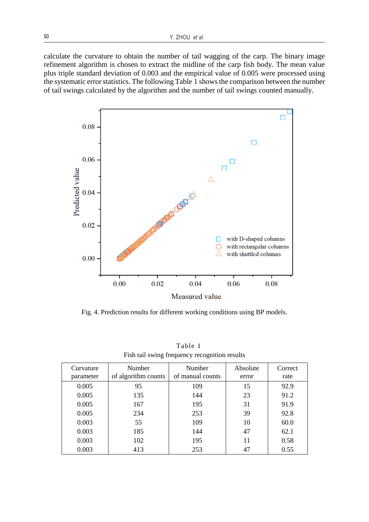calculate the curvature to obtain the number of tail wagging of the carp. The binary image refinement algorithm is chosen to extract the midline of the carp fish body. The mean value plus triple standard deviation of 0.003 and the empirical value of 0.005 were processed using the systematic error statistics. The following Table 1 shows the comparison between the number of tail swings calculated by the algorithm and the number of tail swings counted manually.



Fig. 4. Prediction results for different working conditions using BP models.

| Curvature | <b>Number</b>       | Number           | Absolute | Correct |
|-----------|---------------------|------------------|----------|---------|
| parameter | of algorithm counts | of manual counts | error    | rate    |
| 0.005     | 95                  | 109              | 15       | 92.9    |
| 0.005     | 135                 | 144              | 23       | 91.2    |
| 0.005     | 167                 | 195              | 31       | 91.9    |
| 0.005     | 234                 | 253              | 39       | 92.8    |
| 0.003     | 55                  | 109              | 10       | 60.0    |
| 0.003     | 185                 | 144              | 47       | 62.1    |
| 0.003     | 102                 | 195              | 11       | 0.58    |
| 0.003     | 413                 | 253              | 47       | 0.55    |

Table 1 Fish tail swing frequency recognition results